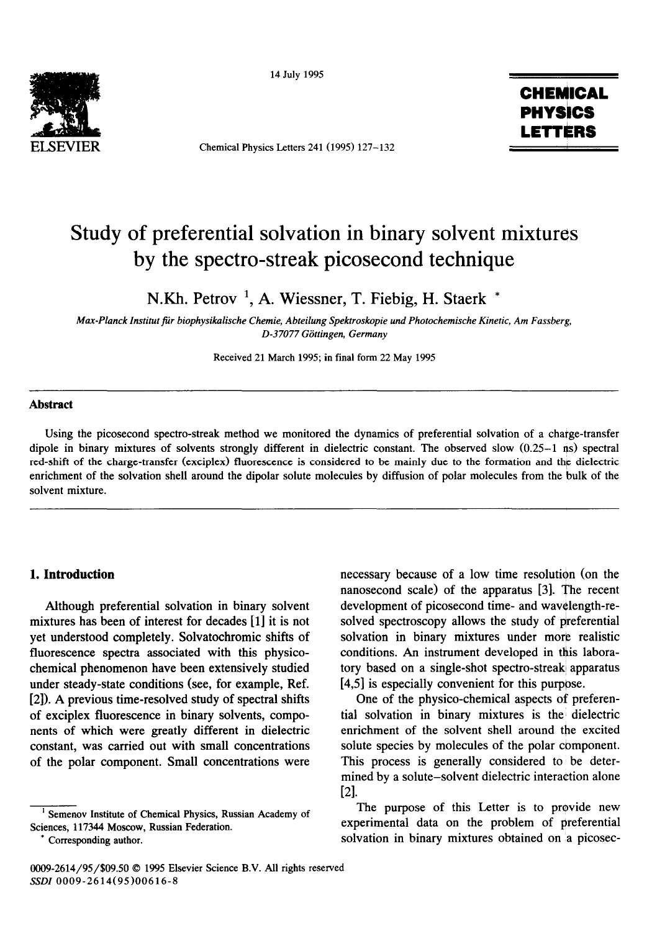

14 July 1995

Chemical Physics Letters 241(1995) 127-132



# Study of preferential solvation in binary solvent mixtures by the spectro-streak picosecond technique

N.Kh. Petrov ', A. Wiessner, T. Fiebig, H. Staerk \*

*Max-Planck Institat fiir biophysikalische Chemie, Abteilung Spektroskopie und Photochemische Kinetic, Am Fassberg, D-37077 Giittingen, Germany* 

Received 21 March 1995; in final form 22 May 1995

## **Abstract**

Using the picosecond spectra-streak method we monitored the dynamics of preferential solvation of a charge-transfer dipole in binary mixtures of solvents strongly different in dielectric constant. The observed slow (0.25-1 ns) spectral red-shift of the charge-transfer (exciplex) fluorescence is considered to be mainly due to the formation and the dielectric enrichment of the salvation shell around the dipolar solute molecules by diffusion of polar molecules from the bulk of the solvent mixture.

## **1. Introduction**

Although preferential solvation in binary solvent mixtures has been of interest for decades [l] it is not yet understood completely. Solvatochromic shifts of fluorescence spectra associated with this physicochemical phenomenon have been extensively studied under steady-state conditions (see, for example, Ref. [2]). A previous time-resolved study of spectral shifts of exciplex fluorescence in binary solvents, components of which were greatly different in dielectric constant, was carried out with small concentrations of the polar component. Small concentrations were

Semenov Institute of Chemical Physics, Russian Academy of Sciences, 117344 Moscow, Russian Federation.

Corresponding author.

necessary because of a low time resolution (on the nanosecond scale) of the apparatus [3]. The recent development of picosecond time- and wavelength-resolved spectroscopy allows the study of preferential solvation in binary mixtures under more realistic conditions. An instrument developed in this laboratory based on a single-shot spectro-streak apparatus [4,5] is especially convenient for this purpose.

One of the physico-chemical aspects of preferential solvation in binary mixtures is the' dielectric enrichment of the solvent shell around the excited solute species by molecules of the polar component. This process is generally considered to be determined by a solute-solvent dielectric interaction alone  $\lceil 2 \rceil$ .

The purpose of this Letter is to provide new experimental data on the problem of preferential solvation in binary mixtures obtained on a picosec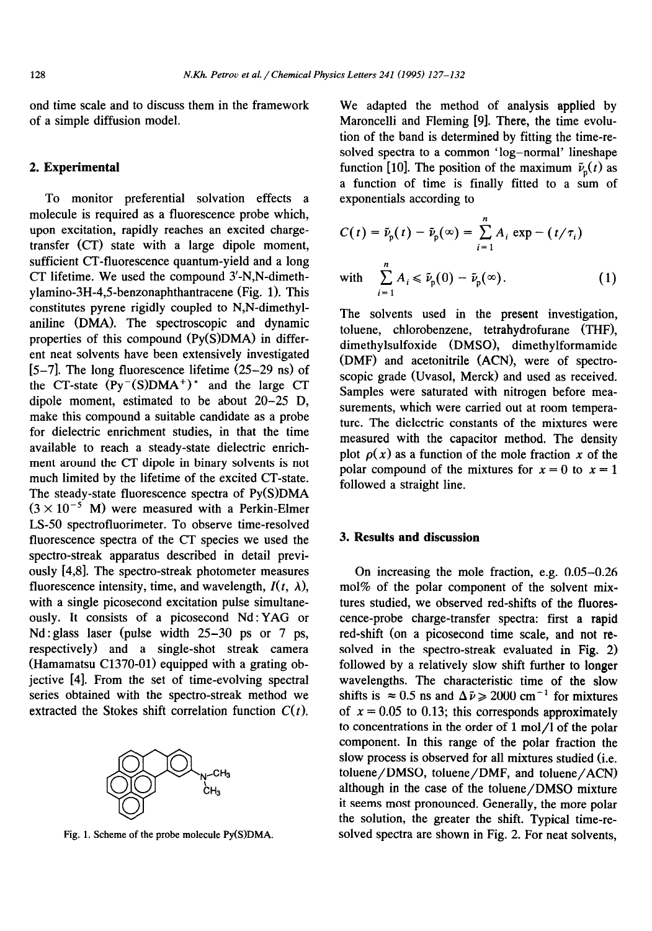ond time scale and to discuss them in the framework of a simple diffusion model.

# 2. **Experimental**

To monitor preferential solvation effects a molecule is required as a fluorescence probe which, upon excitation, rapidly reaches an excited chargetransfer (CT) state with a large dipole moment, sufficient CT-fluorescence quantum-yield and a long CT lifetime. We used the compound 3'-N,N-dimethylamino-3H-4,5-benzonaphthantracene (Fig. 1). This constitutes pyrene rigidly coupled to N,N-dimethylaniline (DMA). The spectroscopic and dynamic properties of this compound (Py(S)DMA) in different neat solvents have been extensively investigated  $[5-7]$ . The long fluorescence lifetime  $(25-29 \text{ ns})$  of the CT-state  $(Py<sup>-</sup>(S)DNA<sup>+</sup>)<sup>*</sup>$  and the large CT dipole moment, estimated to be about 20-25 D, make this compound a suitable candidate as a probe for dielectric enrichment studies, in that the time available to reach a steady-state dielectric enrichment around the CT dipole in binary solvents is not much limited by the lifetime of the excited CT-state. The steady-state fluorescence spectra of Py(S)DMA  $(3 \times 10^{-5}$  M) were measured with a Perkin-Elmer IS-50 spectrofluorimeter. To observe time-resolved fluorescence spectra of the CT species we used the spectro-streak apparatus described in detail previously [4,8]. The spectro-streak photometer measures fluorescence intensity, time, and wavelength,  $I(t, \lambda)$ , with a single picosecond excitation pulse simultaneously. It consists of a picosecond Nd: YAG or Nd: glass laser (pulse width 25-30 ps or 7 ps, respectively) and a single-shot streak camera (Hamamatsu C1370-01) equipped with a grating objective [4]. From the set of time-evolving spectral series obtained with the spectro-streak method we extracted the Stokes shift correlation function  $C(t)$ .



Fig. 1. Scheme of the probe molecule Py(S)DMA.

We adapted the method of analysis applied by Maroncelli and Fleming [9]. There, the time evolution of the band is determined by fitting the time-resolved spectra to a common 'log-normal' lineshape function [10]. The position of the maximum  $\tilde{v}_p(t)$  as a function of time is finally fitted to a sum of exponentials according to

$$
C(t) = \tilde{\nu}_{p}(t) - \tilde{\nu}_{p}(\infty) = \sum_{i=1}^{n} A_{i} \exp(-t/\tau_{i})
$$
  
with 
$$
\sum_{i=1}^{n} A_{i} \le \tilde{\nu}_{p}(0) - \tilde{\nu}_{p}(\infty).
$$
 (1)

The solvents used in the present investigation, toluene, chlorobenzene, tetrahydrofurane (THF), dimethylsulfoxide (DMSO), dimethylformamide (DMF) and acetonitrile (ACN), were of spectroscopic grade (Uvasol, Merck) and used as received. Samples were saturated with nitrogen before measurements, which were carried out at room temperature. The dielectric constants of the mixtures were measured with the capacitor method. The density plot  $\rho(x)$  as a function of the mole fraction x of the polar compound of the mixtures for  $x = 0$  to  $x = 1$ followed a straight line.

# 3. **Results and discussion**

On increasing the mole fraction, e.g. 0.05-0.26 mol% of the polar component of the solvent mixtures studied, we observed red-shifts of the fluorescence-probe charge-transfer spectra: first a rapid red-shift (on a picosecond time scale, and not resolved in the spectro-streak evaluated in Fig. 2) followed by a relatively slow shift further to longer wavelengths. The characteristic time of the slow shifts is  $\approx 0.5$  ns and  $\Delta \tilde{\nu} \ge 2000$  cm<sup>-1</sup> for mixtures of  $x = 0.05$  to 0.13; this corresponds approximately to concentrations in the order of 1 mol/l of the polar component. In this range of the polar fraction the slow process is observed for all mixtures studied (i.e. toluene/DMSO, toluene/DMF, and toluene/ACN) although in the case of the toluene/DMSO mixture it seems most pronounced. Generally, the more polar the solution, the greater the shift. Typical time-resolved spectra are shown in Fig. 2. For neat solvents,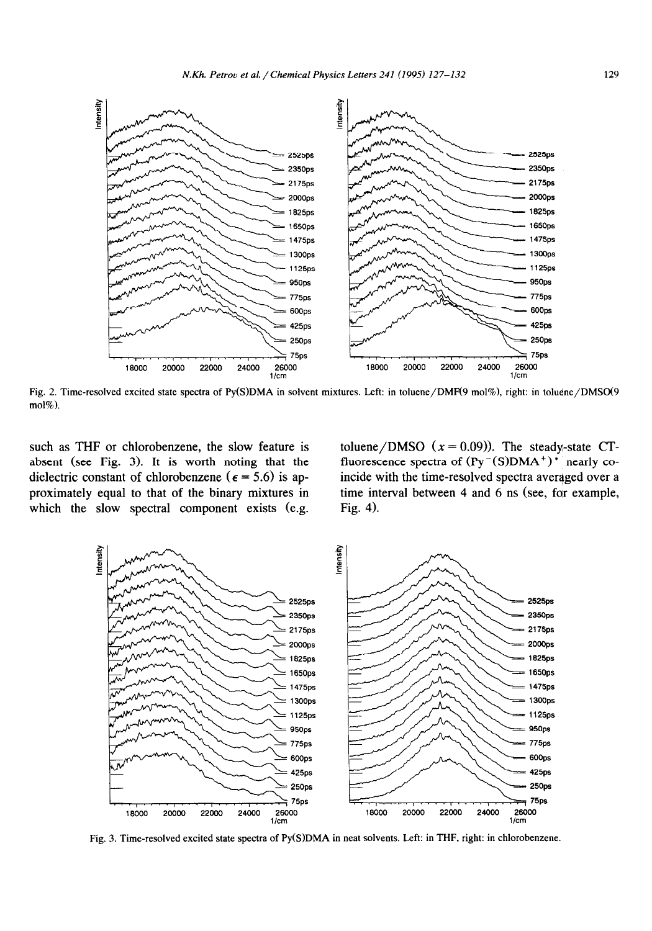

Fig. 2. Time-resolved **excited state spectra** of Py(S)DMA in solvent mixtures. Left: in toluene/DMF(9 mol%), right: in toluene/DMS0(9 mol%).

such as THF or chlorobenzene, the slow feature is absent (see Fig. 3). It is worth noting that the dielectric constant of chlorobenzene ( $\epsilon$  = 5.6) is approximately equal to that of the binary mixtures in which the slow spectral component exists (e.g.

toluene/DMSO  $(x = 0.09)$ ). The steady-state CTfluorescence spectra of  $(Py^{-}(S)DMA^{+})^*$  nearly coincide with the time-resolved spectra averaged over a time interval between 4 and 6 ns (see, far example, Fig.  $4$ ).



Fig. 3. Time-resolved excited state spectra of Py(S)DMA in neat solvents. Left: in THF, right: in chlorobenzene.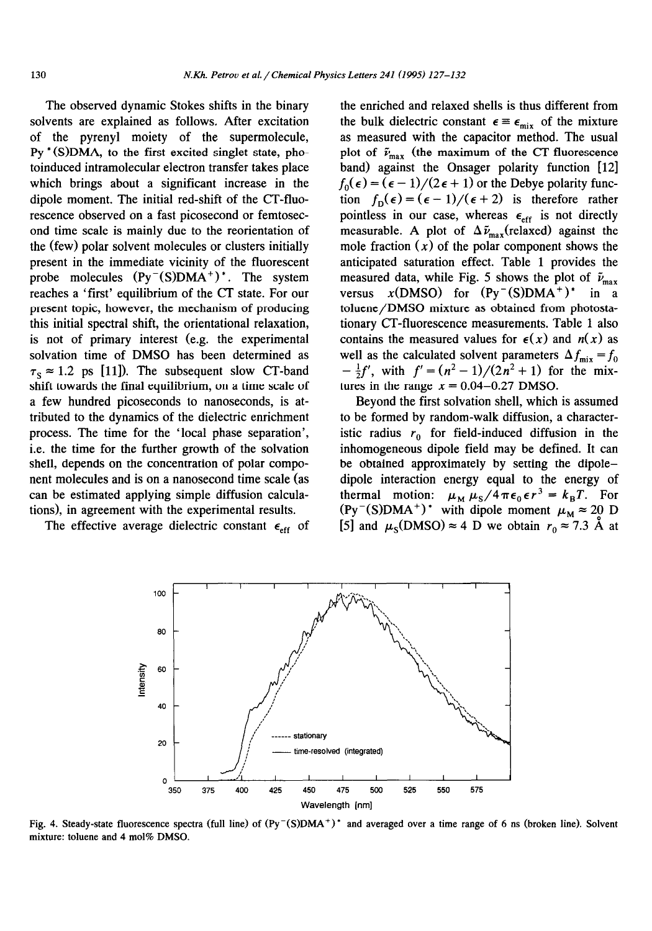The observed dynamic Stokes shifts in the binary solvents are explained as follows. After excitation of the pyrenyl moiety of the supermolecule,  $Py<sup>*</sup>(S)<sub>DMA</sub>$ , to the first excited singlet state, photoinduced intramolecular electron transfer takes place which brings about a significant increase in the dipole moment. The initial red-shift of the CT-fluorescence observed on a fast picosecond or femtosecond time scale is mainly due to the reorientation of the (few) polar solvent molecules or clusters initially present in the immediate vicinity of the fluorescent probe molecules  $(Py^{-}(S)DMA^{+})^*$ . The system reaches a 'first' equilibrium of the CT state. For our present topic, however, the mechanism of producing this initial spectral shift, the orientational relaxation, is not of primary interest (e.g. the experimental solvation time of DMSO has been determined as  $\tau_s \approx 1.2$  ps [11]). The subsequent slow CT-band shift towards the final equilibrium, on a time scale of a few hundred picoseconds to nanoseconds, is attributed to the dynamics of the dielectric enrichment process. The time for the 'local phase separation', i.e. the time for the further growth of the solvation shell, depends on the concentration of polar component molecules and is on a nanosecond time scale (as can be estimated applying simple diffusion calculations), in agreement with the experimental results.

The effective average dielectric constant  $\epsilon_{eff}$  of

the enriched and relaxed shells is thus different from the bulk dielectric constant  $\epsilon \equiv \epsilon_{mix}$  of the mixture as measured with the capacitor method. The usual plot of  $\tilde{\nu}_{\text{max}}$  (the maximum of the CT-fluorescence band) against the Onsager polarity function [12]  $f_0(\epsilon) = (\epsilon - 1)/(2 \epsilon + 1)$  or the Debye polarity function  $f_D(\epsilon) = (\epsilon - 1)/(\epsilon + 2)$  is therefore rather pointless in our case, whereas  $\epsilon_{\text{eff}}$  is not directly measurable. A plot of  $\Delta \tilde{\nu}_{\text{max}}(\text{relaxed})$  against the mole fraction  $(x)$  of the polar component shows the anticipated saturation effect. Table 1 provides the measured data, while Fig. 5 shows the plot of  $\tilde{\nu}_{\text{max}}$ versus  $x(DMSO)$  for  $(Py^-(S)DNA^+)^*$  in a toluene/DMSO mixture as obtained from photostationary CT-fluorescence measurements. Table 1 also contains the measured values for  $\epsilon(x)$  and  $n(x)$  as well as the calculated solvent parameters  $\Delta f_{\text{mix}} = f_0$  $-\frac{1}{2}f'$ , with  $f' = (n^2 - 1)/(2n^2 + 1)$  for the mixtures in the range  $x = 0.04 - 0.27$  DMSO.

Beyond the first solvation shell, which is assumed to be formed by random-walk diffusion, a characteristic radius  $r_0$  for field-induced diffusion in the inhomogeneous dipole field may be defined. It can be obtained approximately by setting the dipoledipole interaction energy equal to the energy of thermal motion:  $\mu_M \mu_S/4\pi\epsilon_0 \epsilon r^3 = k_B T$ . For  $(\text{Py}^{-}(S)$ DMA<sup>+</sup>)<sup>\*</sup> with dipole moment  $\mu_{\text{M}} \approx 20$  D [5] and  $\mu_s(DMSO) \approx 4$  D we obtain  $r_0 \approx 7.3$  Å at



Fig. 4. Steady-state fluorescence spectra (full line) of (Py-(S)DMA+)\* and averaged over a time range of 6 *ns* (broken line). Solvent mixture: toluene and 4 mol% DMSO.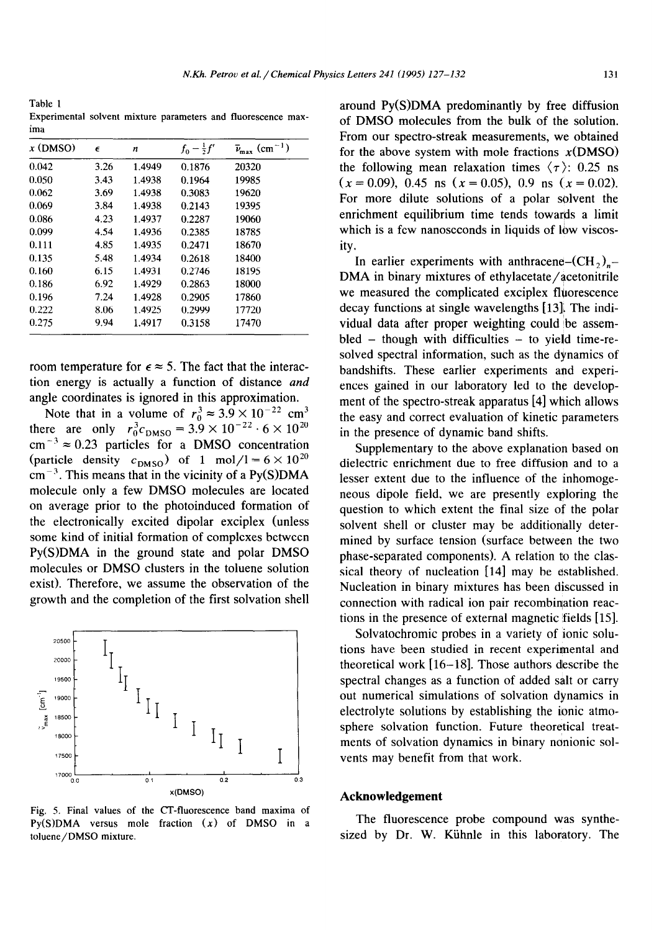Table 1 Experimental solvent mixture parameters and fluorescence maxima

| $x$ (DMSO) | $\epsilon$ | n      | $f_0 - \frac{1}{2}f'$ | $\bar{\nu}_{\text{max}}$ (cm <sup>-1</sup> ) |
|------------|------------|--------|-----------------------|----------------------------------------------|
| 0.042      | 3.26       | 1.4949 | 0.1876                | 20320                                        |
| 0.050      | 3.43       | 1.4938 | 0.1964                | 19985                                        |
| 0.062      | 3.69       | 1.4938 | 0.3083                | 19620                                        |
| 0.069      | 3.84       | 1.4938 | 0.2143                | 19395                                        |
| 0.086      | 4.23       | 1.4937 | 0.2287                | 19060                                        |
| 0.099      | 4.54       | 1.4936 | 0.2385                | 18785                                        |
| 0.111      | 4.85       | 1.4935 | 0.2471                | 18670                                        |
| 0.135      | 5.48       | 1.4934 | 0.2618                | 18400                                        |
| 0.160      | 6.15       | 1.4931 | 0.2746                | 18195                                        |
| 0.186      | 6.92       | 1.4929 | 0.2863                | 18000                                        |
| 0.196      | 7.24       | 1.4928 | 0.2905                | 17860                                        |
| 0.222      | 8.06       | 1.4925 | 0.2999                | 17720                                        |
| 0.275      | 9.94       | 1.4917 | 0.3158                | 17470                                        |

room temperature for  $\epsilon \approx 5$ . The fact that the interaction energy is actually a function of distance *and*  angle coordinates is ignored in this approximation.

Note that in a volume of  $r_0^3 \approx 3.9 \times 10^{-22}$  cm<sup>3</sup> there are only  $r_0^2 c_{\text{DMSO}} = 3.9 \times 10^{-22} \cdot 6 \times 10^{-2}$  $cm^{-3} \approx 0.23$  particles for a DMSO concentration (particle density  $c_{\text{DMSO}}$ ) of 1 mol/l =  $6 \times 10^{20}$  $cm^{-3}$ . This means that in the vicinity of a Py(S)DMA molecule only a few DMSO molecules are located on average prior to the photoinduced formation of the electronically excited dipolar exciplex (unless some kind of initial formation of complexes between Py(S)DMA in the ground state and polar DMSO molecules or DMSO clusters in the toluene solution exist). Therefore, we assume the observation of the growth and the completion of the first solvation shell



Fig. 5. Final values of the CT-fluorescence band maxima of Py(S)DMA versus mole fraction  $(x)$  of DMSO in a toluene/DMSO mixture.

around Py(S)DMA predominantly by free diffusion of DMSO molecules from the bulk of the solution. From our spectro-streak measurements, we obtained for the above system with mole fractions  $x(DMSO)$ the following mean relaxation times  $\langle \tau \rangle$ : 0.25 ns  $(x=0.09)$ , 0.45 ns  $(x=0.05)$ , 0.9 ns  $(x=0.02)$ . For more dilute solutions of a polar solvent the enrichment equilibrium time tends towards a limit which is a few nanoseconds in liquids of low viscosity.

In earlier experiments with anthracene– $(CH_2)$ ,– DMA in binary mixtures of ethylacetate/acetonitrile we measured the complicated exciplex fluorescence decay functions at single wavelengths [13]. The individual data after proper weighting could be assem $bled - though with difficulties - to yield time-re$ solved spectral information, such as the dynamics of bandshifts. These earlier experiments and experiences gained in our laboratory led to the development of the spectro-streak apparatus [4] which allows the easy and correct evaluation of kinetic parameters in the presence of dynamic band shifts.

Supplementary to the above explanation based on dielectric enrichment due to free diffusion and to a lesser extent due to the influence of the inhomogeneous dipole field, we are presently exploring the question to which extent the final size of the polar solvent shell or cluster may be additionally determined by surface tension (surface between the two phase-separated components). A relation to the classical theory of nucleation [14] may be established. Nucleation in binary mixtures has been discussed in connection with radical ion pair recombination reactions in the presence of external magnetic fields [15].

Solvatochromic probes in a variety of ionic solutions have been studied in recent experimental and theoretical work  $[16-18]$ . Those authors describe the spectral changes as a function of added salt or carry out numerical simulations of solvation dynamics in electrolyte solutions by establishing the ionic atmosphere solvation function. Future theoretical treatments of solvation dynamics in binary nonionic solvents may benefit from that work.

### **Acknowledgement**

The fluorescence probe compound was synthesized by Dr. W. Kiihnle in this laboratory. The